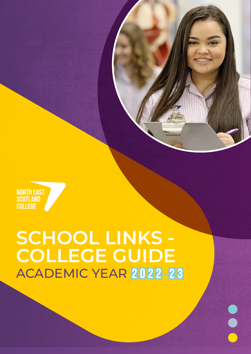# **SCHOOL LINKS - COLLEGE GUIDE**

**NORTH EAST<br>SCOTLAND<br>COLLEGE** 



## ACADEMIC YEAR 2022-23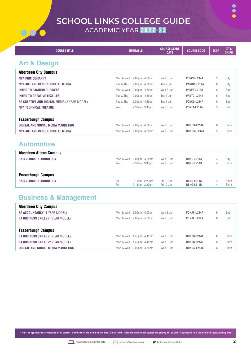

| <b>COURSE TITLE</b>                                 | <b>TIMETABLE</b> |                                   | <b>COURSE START</b><br><b>DATE</b> | <b>COURSE CODE</b> | <b>SCQF</b> | CITY/<br><b>SHIRE</b> |
|-----------------------------------------------------|------------------|-----------------------------------|------------------------------------|--------------------|-------------|-----------------------|
| <b>Art &amp; Design</b>                             |                  |                                   |                                    |                    |             |                       |
| <b>Aberdeen City Campus</b>                         |                  |                                   |                                    |                    |             |                       |
| <b>NPA PHOTOGRAPHY</b>                              | Mon & Wed        | $2.00 \text{pm} - 4.30 \text{pm}$ | Wed 8 Jun                          | PCNPH-L214A        | 5           | City                  |
| NPA ART AND DESIGN: DIGITAL MEDIA                   | Tue & Thu        | $2.00pm - 4.30pm$                 | Tue 7 Jun                          | PANDM-L214A        | 6           | City                  |
| <b>INTRO TO FASHION BUSINESS</b>                    | Mon & Wed        | $2.00pm - 4.30pm$                 | Wed 8 Jun                          | PANFB-L214A        | 6           | <b>Both</b>           |
| <b>INTRO TO CREATIVE TEXTILES</b>                   | Tue & Thu        | $2.00pm - 4.30pm$                 | Tue 7 Jun                          | PANTG-L214A        | 6           | <b>Both</b>           |
| <b>FA CREATIVE AND DIGITAL MEDIA (2 YEAR MODEL)</b> | Tue & Thu        | $2.00 \text{pm} - 4.30 \text{pm}$ | Tue 7 Jun                          | PCNCD-L214A        | 6           | <b>Both</b>           |
| <b>NPA TECHNICAL THEATRE</b>                        | Wed              | 9.30am - 3.30pm                   | Wed 8 Jun                          | PBNTT-L214A        | 5           | <b>Both</b>           |
|                                                     |                  |                                   |                                    |                    |             |                       |
| <b>Fraserburgh Campus</b>                           |                  |                                   |                                    |                    |             |                       |
| <b>DIGITAL AND SOCIAL MEDIA MARKETING</b>           | Mon & Wed        | $2.00 \text{pm} - 4.30 \text{pm}$ | Wed 8 Jun                          | <b>RHNDS-L214A</b> | 6           | Shire                 |
| NPA ART AND DESIGN: DIGITAL MEDIA                   | Mon & Wed        | $2.00pm - 4.30pm$                 | Wed 8 Jun                          | RHNDM-L214A        | 5           | Shire                 |

#### **Automotive**

00

| <b>Aberdeen Altens Campus</b>     |           |                       |            |                   |   |       |
|-----------------------------------|-----------|-----------------------|------------|-------------------|---|-------|
| <b>C&amp;G VEHICLE TECHNOLOGY</b> | Mon & Wed | $2.00$ pm - $4.30$ pm | Wed 8 Jun  | QQNG-L214A        | 4 | City  |
|                                   | Wed       | $9.30am - 3.30pm$     | Wed 8 Jun  | QQNG-L214B        | 4 | Shire |
| <b>Fraserburgh Campus</b>         |           |                       |            |                   |   |       |
| <b>C&amp;G VEHICLE TECHNOLOGY</b> | Fri       | $9.15$ am - $2.20$ pm | Fri 10 Jun | RBNG-L214A        | 4 | Shire |
|                                   | Fri       | $9.15$ am - $2.20$ pm | Fri 10 Jun | <b>RBNG-L214B</b> | 4 | Shire |

#### **Business & Management**

| <b>Aberdeen City Campus</b>              |           |                       |           |             |   |             |
|------------------------------------------|-----------|-----------------------|-----------|-------------|---|-------------|
| <b>FA ACCOUNTANCY (1 YEAR MODEL)</b>     | Mon & Wed | $2.00$ pm - $5.00$ pm | Wed 8 Jun | PGNAC-L214A | 6 | <b>Both</b> |
| <b>FA BUSINESS SKILLS (1 YEAR MODEL)</b> | Mon & Wed | $2.00pm - 5.00pm$     | Wed 8 Jun | PGNBL-L214A | 6 | <b>Both</b> |
|                                          |           |                       |           |             |   |             |
| <b>Fraserburgh Campus</b>                |           |                       |           |             |   |             |
| <b>FA BUSINESS SKILLS (1 YEAR MODEL)</b> | Mon & Wed | 1.45pm - 4.45pm       | Wed 8 Jun | RHNBS-L214A | 6 | Shire       |
| <b>FA BUSINESS SKILLS (2 YEAR MODEL)</b> | Mon & Wed | $1.45$ pm - $4.45$ pm | Wed 8 Jun | RHNBS-L214B | 6 | Shire       |
| DIGITAL AND SOCIAL MEDIA MARKETING       | Mon & Wed | $2.00$ pm - $4.30$ pm | Wed 8 Jun | RHNDS-L214A | 6 | Shire       |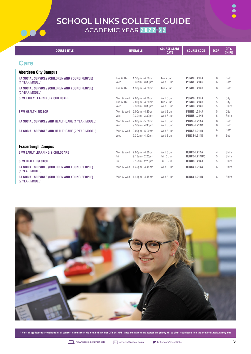000



 $\bullet$  $\bullet$ 

| <b>COURSE TITLE</b>                                              |                               | <b>TIMETABLE</b>                                          | <b>COURSE START</b><br><b>DATE</b>  | <b>COURSE CODE</b>                        | <b>SCQF</b>          | CITY/<br><b>SHIRE</b> |
|------------------------------------------------------------------|-------------------------------|-----------------------------------------------------------|-------------------------------------|-------------------------------------------|----------------------|-----------------------|
| <b>Care</b>                                                      |                               |                                                           |                                     |                                           |                      |                       |
| <b>Aberdeen City Campus</b>                                      |                               |                                                           |                                     |                                           |                      |                       |
| FA SOCIAL SERVICES (CHILDREN AND YOUNG PEOPLE)<br>(1 YEAR MODEL) | Tue & Thu<br>Wed              | $1.30pm - 4.30pm$<br>$9.30am - 3.30pm$                    | Tue 7 Jun<br>Wed 8 Jun              | PSNCY-L214A<br>PSNCY-L214C                | 6<br>6               | Both<br>Both          |
| FA SOCIAL SERVICES (CHILDREN AND YOUNG PEOPLE)<br>(2 YEAR MODEL) | Tue & Thu                     | $1.30pm - 4.30pm$                                         | Tue 7 Jun                           | PSNCY-L214B                               | 6                    | Both                  |
| <b>SFW EARLY LEARNING &amp; CHILDCARE</b>                        | Mon & Wed<br>Tue & Thu<br>Wed | $2.00pm - 4.30pm$<br>$2.00pm - 4.30pm$<br>9.30am - 3.30pm | Wed 8 Jun<br>Tue 7 Jun<br>Wed 8 Jun | PSNCB-L214A<br>PSNCB-L214B<br>PSNCB-L214C | $\sqrt{5}$<br>5<br>5 | City<br>City<br>Shire |
| <b>SFW HEALTH SECTOR</b>                                         | Mon & Wed<br>Wed              | $2.00pm - 4.30pm$<br>9.30am - 3.30pm                      | Wed 8 Jun<br>Wed 8 Jun              | PTNHS-L214A<br>PTNHS-L214B                | 5<br>5               | City<br>Shire         |
| FA SOCIAL SERVICES AND HEALTHCARE (1 YEAR MODEL)                 | Mon & Wed<br>Wed              | $2.00pm - 5.00pm$<br>9.30am - 4.30pm                      | Wed 8 Jun<br>Wed 8 Jun              | PTNSS-L214A<br><b>PTNSS-L214C</b>         | 6<br>6               | Both<br><b>Both</b>   |
| FA SOCIAL SERVICES AND HEALTHCARE (2 YEAR MODEL)                 | Mon & Wed<br>Wed              | $2.00pm - 5.00pm$<br>9.30am - 4.30pm                      | Wed 8 Jun<br>Wed 8 Jun              | PTNSS-L214B<br>PTNSS-L214D                | 6<br>6               | <b>Both</b><br>Both   |
| <b>Fraserburgh Campus</b>                                        |                               |                                                           |                                     |                                           |                      |                       |
| <b>SFW EARLY LEARNING &amp; CHILDCARE</b>                        | Mon & Wed<br>Fri              | $2.00pm - 4.30pm$<br>$9.15am - 2.20pm$                    | Wed 8 Jun<br>Fri 10 Jun             | RJNCB-L214A<br>RJNCB-L214B/C              | 4<br>5               | Shire<br>Shire        |
| <b>SFW HEALTH SECTOR</b>                                         | Fri                           | $9.15am - 2.20pm$                                         | Fri 10 Jun                          | RJNHS-L214A                               | 5                    | Shire                 |
| FA SOCIAL SERVICES (CHILDREN AND YOUNG PEOPLE)<br>(1 YEAR MODEL) | Mon & Wed                     | $1.45$ pm - $4.45$ pm                                     | Wed 8 Jun                           | RJNCY-L214A                               | 6                    | Shire                 |
| FA SOCIAL SERVICES (CHILDREN AND YOUNG PEOPLE)<br>(2 YEAR MODEL) |                               | Mon & Wed 1.45pm - 4.45pm                                 | Wed 8 Jun                           | RJNCY-L214B                               | 6                    | Shire                 |

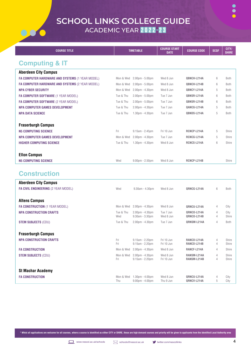

| <b>COURSE TITLE</b>                                                     | <b>TIMETABLE</b> |                                      | <b>COURSE START</b><br><b>DATE</b> | <b>COURSE CODE</b>         | <b>SCQF</b> | CITY/<br><b>SHIRE</b> |
|-------------------------------------------------------------------------|------------------|--------------------------------------|------------------------------------|----------------------------|-------------|-----------------------|
| <b>Computing &amp; IT</b>                                               |                  |                                      |                                    |                            |             |                       |
| <b>Aberdeen City Campus</b>                                             |                  |                                      |                                    |                            |             |                       |
| FA COMPUTER HARDWARE AND SYSTEMS (1 YEAR MODEL)                         | Mon & Wed        | $2.00pm - 5.00pm$                    | Wed 8 Jun                          | <b>QBNCH-L214A</b>         | 6           | <b>Both</b>           |
| FA COMPUTER HARDWARE AND SYSTEMS (2 YEAR MODEL)                         | Mon & Wed        | $2.00 \text{pm} - 5.00 \text{pm}$    | Wed 8 Jun                          | QBNCH-L214B                | 6           | <b>Both</b>           |
| <b>NPA CYBER SECURITY</b>                                               | Mon & Wed        | 2.00pm - 4.30pm                      | Wed 8 Jun                          | QBNCY-L214A                | 5           | <b>Both</b>           |
| FA COMPUTER SOFTWARE (1 YEAR MODEL)                                     | Tue & Thu        | $2.00 \text{pm} - 5.00 \text{pm}$    | Tue 7 Jun                          | QBNSR-L214A                | 6           | <b>Both</b>           |
| FA COMPUTER SOFTWARE (2 YEAR MODEL)                                     | Tue & Thu        | $2.00 \text{pm} - 5.00 \text{pm}$    | Tue 7 Jun                          | QBNSR-L214B                | 6           | <b>Both</b>           |
| <b>NPA COMPUTER GAMES DEVELOPMENT</b>                                   | Tue & Thu        | $2.00 \text{pm} - 4.30 \text{pm}$    | Tue 7 Jun                          | QANCG-L214A                | 5           | <b>Both</b>           |
| <b>NPA DATA SCIENCE</b>                                                 | Tue & Thu        | $1.30pm - 4.30pm$                    | Tue 7 Jun                          | QBNDS-L214A                | 5           | <b>Both</b>           |
|                                                                         |                  |                                      |                                    |                            |             |                       |
| <b>Fraserburgh Campus</b>                                               |                  |                                      |                                    |                            |             |                       |
| <b>N5 COMPUTING SCIENCE</b>                                             | Fri              | $9.15am - 2.45pm$                    | Fri 10 Jun                         | RCNCP-L214A                | 5           | Shire                 |
| <b>NPA COMPUTER GAMES DEVELOPMENT</b>                                   | Mon & Wed        | 2.00pm - 4.30pm                      | Tue 7 Jun                          | RCNCG-L214A                | 5           | Shire                 |
| <b>HIGHER COMPUTING SCIENCE</b>                                         | Tue & Thu        | $1.30pm - 4.30pm$                    | Wed 8 Jun                          | RCNCS-L214A                | 6           | Shire                 |
| <b>Ellon Campus</b>                                                     |                  |                                      |                                    |                            |             |                       |
| <b>N5 COMPUTING SCIENCE</b>                                             | Wed              | $9.00$ pm - $2.50$ pm                | Wed 8 Jun                          | RCNCP-L214B                |             | Shire                 |
|                                                                         |                  |                                      |                                    |                            |             |                       |
| <b>Construction</b>                                                     |                  |                                      |                                    |                            |             |                       |
| <b>Aberdeen City Campus</b>                                             |                  |                                      |                                    |                            |             |                       |
| FA CIVIL ENGINEERING (2 YEAR MODEL)                                     | Wed              | 9.30am - 4.30pm                      | Wed 8 Jun                          | QRNCG-L214A                | 6           | Both                  |
|                                                                         |                  |                                      |                                    |                            |             |                       |
| <b>Altens Campus</b>                                                    | Mon & Wed        | $2.00pm - 4.30pm$                    | Wed 8 Jun                          | QRNCU-L214A                |             | City                  |
| <b>FA CONSTRUCTION (1 YEAR MODEL)</b><br><b>NPA CONSTRUCTION CRAFTS</b> | Tue & Thu        | 2.00pm - 4.30pm                      | Tue 7 Jun                          | QRNCO-L214A                | 4<br>4      | City                  |
|                                                                         | Wed              | $9.30am - 3.30pm$                    | Wed 8 Jun                          | QRNCO-L214B                | 4           | Shire                 |
| <b>STEM SUBJECTS (CDU)</b>                                              | Tue & Thu        | 2.00pm - 4.30pm                      | Tue 7 Jun                          | QRNSM-L214A                | 4           | Both                  |
| <b>Fraserburgh Campus</b>                                               |                  |                                      |                                    |                            |             |                       |
| <b>NPA CONSTRUCTION CRAFTS</b>                                          | Fri              | $9.15am - 2.20pm$                    | Fri 10 Jun                         | RANCO-L214A                | 4           | Shire                 |
|                                                                         | Fri              | $9.15am - 2.20pm$                    | Fri 10 Jun                         | RANCO-L214B                | 4           | Shire                 |
| <b>FA CONSTRUCTION</b>                                                  | Mon & Wed        | 2.00pm - 4.30pm                      | Wed 8 Jun                          | RANCF-L214A                | 4           | Shire                 |
| <b>STEM SUBJECTS (CDU)</b>                                              | Mon & Wed<br>Fri | 2.00pm - 4.30pm<br>$9.15am - 2.20pm$ | Wed 8 Jun<br>Fri 10 Jun            | RANSM-L214A<br>RANSM-L214B | 4<br>4      | Shire<br>Shire        |

| <b>St Machar Academy</b> |     |                                              |                        |                            |              |
|--------------------------|-----|----------------------------------------------|------------------------|----------------------------|--------------|
| <b>FA CONSTRUCTION</b>   | Thu | Mon & Wed 1.30pm - 4.00pm<br>9.00pm - 4.00pm | Wed 8 Jun<br>Thu 9 Jun | QRNCU-L214A<br>QRNCV-L214A | City<br>City |
|                          |     |                                              |                        |                            |              |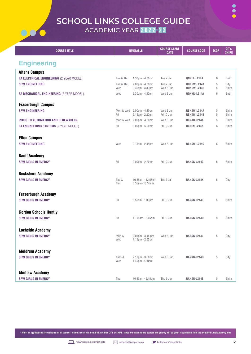$\bullet \bullet \bullet$ 



| <b>COURSE TITLE</b>                             |                  | <b>TIMETABLE</b>                                       | <b>COURSE START</b><br><b>DATE</b> | <b>COURSE CODE</b>         | <b>SCQF</b> | CITY/<br><b>SHIRE</b> |
|-------------------------------------------------|------------------|--------------------------------------------------------|------------------------------------|----------------------------|-------------|-----------------------|
| <b>Engineering</b>                              |                  |                                                        |                                    |                            |             |                       |
| <b>Altens Campus</b>                            |                  |                                                        |                                    |                            |             |                       |
| FA ELECTRICAL ENGINEERING (2 YEAR MODEL)        | Tue & Thu        | $1.30pm - 4.30pm$                                      | Tue 7 Jun                          | QNNEL-L214A                | 6           | <b>Both</b>           |
| <b>SFW ENGINEERING</b>                          | Tue & Thu<br>Wed | $2.00 \text{pm} - 4.30 \text{pm}$<br>9.30am - 3.30pm   | Tue 7 Jun<br>Wed 8 Jun             | QQNSW-L214A<br>QQNSW-L214B | 5<br>5      | City<br>Shire         |
| <b>FA MECHANICAL ENGINEERING (2 YEAR MODEL)</b> | Wed              | 9.30am - 4.30pm                                        | Wed 8 Jun                          | QQNML-L214A                | $6\,$       | <b>Both</b>           |
| <b>Fraserburgh Campus</b>                       |                  |                                                        |                                    |                            |             |                       |
| <b>SFW ENGINEERING</b>                          | Mon & Wed<br>Fri | $2.00 \text{pm} - 4.30 \text{pm}$<br>$9.15am - 2.20pm$ | Wed 8 Jun<br>Fri 10 Jun            | RBNSW-L214A<br>RBNSW-L214B | 5<br>5      | Shire<br>Shire        |
| <b>INTRO TO AUTOMATION AND RENEWABLES</b>       | Mon & Wed        | $2.00 \text{pm} - 4.30 \text{pm}$                      | Wed 8 Jun                          | RCNAR-L214A                | 5           | Shire                 |
| <b>FA ENGINEERING SYSTEMS (2 YEAR MODEL)</b>    | Fri              | $9.00 \text{pm} - 5.00 \text{pm}$                      | Fri 10 Jun                         | RCNEN-L214A                | 6           | Shire                 |
| <b>Ellon Campus</b>                             |                  |                                                        |                                    |                            |             |                       |
| <b>SFW ENGINEERING</b>                          | Wed              | $9.15am - 2.45pm$                                      | Wed 8 Jun                          | <b>RBNSW-L214C</b>         | 6           | Shire                 |
| <b>Banff Academy</b>                            |                  |                                                        |                                    |                            |             |                       |
| <b>SFW GIRLS IN ENERGY</b>                      | Fri              | $9.00$ pm - $2.20$ pm                                  | Fri 10 Jun                         | RANSG-L214C                | 5           | Shire                 |
| <b>Bucksburn Academy</b>                        |                  |                                                        |                                    |                            |             |                       |
| <b>SFW GIRLS IN ENERGY</b>                      | Tue &<br>Thu     | 10.55am - 12.55pm<br>8.35am-10.35am                    | Tue 7 Jun                          | RANSG-L214K                | 5           | City                  |
| <b>Fraserburgh Academy</b>                      |                  |                                                        |                                    |                            |             |                       |
| <b>SFW GIRLS IN ENERGY</b>                      | Fri              | 8.50am - 1.00pm                                        | Fri 10 Jun                         | RANSG-L214E                | 5           | Shire                 |
| <b>Gordon Schools Huntly</b>                    |                  |                                                        |                                    |                            |             |                       |
| <b>SFW GIRLS IN ENERGY</b>                      | Fri              | 11.15am - 3.45pm                                       | Fri 10 Jun                         | RANSG-L214D                | 5           | Shire                 |
| <b>Lochside Academy</b>                         |                  |                                                        |                                    |                            |             |                       |
| <b>SFW GIRLS IN ENERGY</b>                      | Mon &<br>Wed     | 2.05pm - 3.45 pm<br>$1.15$ pm - $2.55$ pm              | Wed 8 Jun                          | RANSG-L214L                | $\sqrt{5}$  | City                  |
| <b>Meldrum Academy</b>                          |                  |                                                        |                                    |                            |             |                       |
| <b>SFW GIRLS IN ENERGY</b>                      | Tues &<br>Wed    | $2.10pm - 3.50pm$<br>1.40pm-3.30pm                     | Wed 8 Jun                          | RANSG-L214G                | $\mathbf 5$ | City                  |

| <b>Mintlaw Academy</b>     |     |                  |           |             |       |
|----------------------------|-----|------------------|-----------|-------------|-------|
| <b>SFW GIRLS IN ENERGY</b> | Thu | 10.45am - 2.15pm | Thu 9 Jun | RANSG-L214B | Shire |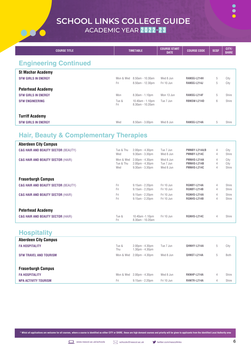

 $\bullet$ 

| <b>COURSE TITLE</b>          | <b>TIMETABLE</b> |                                      | <b>COURSE START</b><br><b>DATE</b> | <b>COURSE CODE</b> | <b>SCQF</b> | CITY/<br><b>SHIRE</b> |
|------------------------------|------------------|--------------------------------------|------------------------------------|--------------------|-------------|-----------------------|
| <b>Engineering Continued</b> |                  |                                      |                                    |                    |             |                       |
| <b>St Machar Academy</b>     |                  |                                      |                                    |                    |             |                       |
| <b>SFW GIRLS IN ENERGY</b>   | Mon & Wed        | $8.50$ am - 10.30am                  | Wed 8 Jun                          | RANSG-L214H        | 5           | City                  |
|                              | Fri              | 8.50am - 12.30pm                     | Fri 10 Jun                         | RANSG-L214J        | 5           | City                  |
| <b>Peterhead Academy</b>     |                  |                                      |                                    |                    |             |                       |
| <b>SFW GIRLS IN ENERGY</b>   | Mon              | $8.30am - 1.10pm$                    | Mon 13 Jun                         | RANSG-L214F        | 5           | Shire                 |
| <b>SFW ENGINEERING</b>       | Tue &<br>Fri     | 10.40am - 1.10pm<br>8.30am - 10.20am | Tue 7 Jun                          | <b>RBNSW-L214D</b> | 6           | Shire                 |
| <b>Turriff Academy</b>       |                  |                                      |                                    |                    |             |                       |
| <b>SFW GIRLS IN ENERGY</b>   | Wed              | 8.50am - 3.00pm                      | Wed 8 Jun                          | RANSG-L214A        | 5           | Shire                 |

#### **Hair, Beauty & Complementary Therapies**

| <b>Aberdeen City Campus</b>                    |              |                                     |            |                    |                |       |
|------------------------------------------------|--------------|-------------------------------------|------------|--------------------|----------------|-------|
| <b>C&amp;G HAIR AND BEAUTY SECTOR (BEAUTY)</b> | Tue & Thu    | $2.00$ pm - $4.30$ pm               | Tue 7 Jun  | PMNBY-L214A/B      | 4              | City  |
|                                                | Wed          | $9.30am - 3.30pm$                   | Wed 8 Jun  | PMNBY-L214C        | $\overline{4}$ | Shire |
| <b>C&amp;G HAIR AND BEAUTY SECTOR (HAIR)</b>   | Mon & Wed    | $2.00$ pm - $4.30$ pm               | Wed 8 Jun  | PMNHS-L214A        | 4              | City  |
|                                                | Tue & Thu    | $2.00pm - 4.30pm$                   | Tue 7 Jun  | <b>PMNHS-L214B</b> | 4              | City  |
|                                                | Wed          | $9.30am - 3.30pm$                   | Wed 8 Jun  | PMNHS-L214C        | 4              | Shire |
| <b>Fraserburgh Campus</b>                      |              |                                     |            |                    |                |       |
| <b>C&amp;G HAIR AND BEAUTY SECTOR (BEAUTY)</b> | Fri          | $9.15$ am - 2.20pm                  | Fri 10 Jun | RGNBY-L214A        | 4              | Shire |
|                                                | Fri          | $9.15$ am - $2.20$ pm               | Fri 10 Jun | RGNBY-L214B        | 4              | Shire |
| <b>C&amp;G HAIR AND BEAUTY SECTOR (HAIR)</b>   | Fri          | $9.15$ am - 2.20pm                  | Fri 10 Jun | RGNHS-L214A        | 4              | Shire |
|                                                | Fri          | $9.15$ am - $2.20$ pm               | Fri 10 Jun | RGNHS-L214B        | 4              | Shire |
| <b>Peterhead Academy</b>                       |              |                                     |            |                    |                |       |
| <b>C&amp;G HAIR AND BEAUTY SECTOR (HAIR)</b>   | Tue &<br>Fri | 10.40am -1.10pm<br>8.30am - 10.20am | Fri 10 Jun | RGNHS-L214C        | 4              | Shire |

#### **Hospitality**

| <b>Aberdeen City Campus</b>   |              |                                            |           |             |             |
|-------------------------------|--------------|--------------------------------------------|-----------|-------------|-------------|
| <b>FA HOSPITALITY</b>         | Tue &<br>Thu | $2.00$ pm - $4.30$ pm<br>$1.30pm - 4.30pm$ | Tue 7 Jun | QHNHY-L214A | City        |
| <b>SFW TRAVEL AND TOURISM</b> |              | Mon & Wed 2.00pm - 4.30pm                  | Wed 8 Jun | QHNST-L214A | <b>Both</b> |

| <b>Fraserburgh Campus</b>   |                           |            |             |       |
|-----------------------------|---------------------------|------------|-------------|-------|
| <b>FA HOSPITALITY</b>       | Mon & Wed 2.00pm - 4.30pm | Wed 8 Jun  | RKNHP-L214A | Shire |
| <b>NPA ACTIVITY TOURISM</b> | 9.15am - 2.20pm           | Fri 10 Jun | RHNTR-L214A | Shire |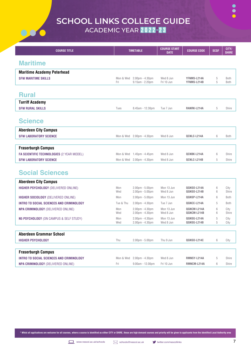

| <b>COURSE TITLE</b>                               | <b>TIMETABLE</b> |                                                                        | <b>COURSE START</b><br><b>DATE</b> | <b>COURSE CODE</b>         | <b>SCQF</b> | CITY/<br><b>SHIRE</b> |
|---------------------------------------------------|------------------|------------------------------------------------------------------------|------------------------------------|----------------------------|-------------|-----------------------|
| <b>Maritime</b>                                   |                  |                                                                        |                                    |                            |             |                       |
|                                                   |                  |                                                                        |                                    |                            |             |                       |
| <b>Maritime Academy Peterhead</b>                 |                  |                                                                        |                                    |                            |             |                       |
| <b>SFW MARITIME SKILLS</b>                        | Mon & Wed<br>Fri | $2.00$ pm - $4.30$ pm<br>$9.15am - 2.20pm$                             | Wed 8 Jun<br>Fri 10 Jun            | YFNMS-L214A<br>YFNMS-L214B | 5<br>5      | <b>Both</b><br>Both   |
|                                                   |                  |                                                                        |                                    |                            |             |                       |
| <b>Rural</b>                                      |                  |                                                                        |                                    |                            |             |                       |
| <b>Turriff Academy</b>                            |                  |                                                                        |                                    |                            |             |                       |
| <b>SFW RURAL SKILLS</b>                           | Tues             | 8.45am - 12.30pm                                                       | Tue 7 Jun                          | RANRK-L214A                | 5           | Shire                 |
|                                                   |                  |                                                                        |                                    |                            |             |                       |
| <b>Science</b>                                    |                  |                                                                        |                                    |                            |             |                       |
| <b>Aberdeen City Campus</b>                       |                  |                                                                        |                                    |                            |             |                       |
| <b>SFW LABORATORY SCIENCE</b>                     | Mon & Wed        | 2.00pm - 4.30pm                                                        | Wed 8 Jun                          | QCNLC-L214A                | 6           | <b>Both</b>           |
|                                                   |                  |                                                                        |                                    |                            |             |                       |
| <b>Fraserburgh Campus</b>                         |                  |                                                                        |                                    |                            |             |                       |
| <b>FA SCIENTIFIC TECHNOLOGIES (2 YEAR MODEL)</b>  | Mon & Wed        | $1.45$ pm - $4.45$ pm                                                  | Wed 8 Jun                          | QCNBK-L214A                | 6           | Shire                 |
| <b>SFW LABORATORY SCIENCE</b>                     | Mon & Wed        | $2.00pm - 4.30pm$                                                      | Wed 8 Jun                          | QCNLC-L214B                | 5           | Shire                 |
|                                                   |                  |                                                                        |                                    |                            |             |                       |
| <b>Social Sciences</b>                            |                  |                                                                        |                                    |                            |             |                       |
| <b>Aberdeen City Campus</b>                       |                  |                                                                        |                                    |                            |             |                       |
| <b>HIGHER PSYCHOLOGY (DELIVERED ONLINE)</b>       | Mon<br>Wed       | $2.00 \text{pm} - 5.00 \text{pm}$<br>$2.00 \text{pm} - 5.00 \text{pm}$ | Mon 13 Jun<br>Wed 8 Jun            | QGNSO-L214A<br>QGNSO-L214B | 6<br>6      | City<br>Shire         |
| <b>HIGHER SOCIOLOGY (DELIVERED ONLINE)</b>        | Mon              | $2.00 \text{pm} - 5.00 \text{pm}$                                      | Mon 13 Jun                         | QGNSP-L214A                | 6           | Both                  |
| <b>INTRO TO SOCIAL SCIENCES AND CRIMINOLOGY</b>   | Tue & Thu        | $2.00 \text{pm} - 4.30 \text{pm}$                                      | Tue 7 Jun                          | QGNCC-L214A                | 5           | Both                  |
| NPA CRIMINOLOGY (DELIVERED ONLINE)                | Mon              | $2.00pm - 4.30pm$                                                      | Mon 13 Jun                         | QGNCM-L214A                | 6           | City                  |
|                                                   | Wed              | $2.00$ pm - $4.30$ pm                                                  | Wed 8 Jun                          | QGNCM-L214B                | 6           | Shire                 |
| <b>N5 PSYCHOLOGY (ON CAMPUS &amp; SELF STUDY)</b> | Mon<br>Wed       | $2.00pm - 4.30pm$<br>$2.00$ pm - $4.30$ pm                             | Mon 13 Jun<br>Wed 8 Jun            | QGNSG-L214A<br>QGNSG-L214B | 5<br>5      | City<br>City          |
|                                                   |                  |                                                                        |                                    |                            |             |                       |
| Aberdeen Grammar School                           |                  |                                                                        |                                    |                            |             |                       |
| <b>HIGHER PSYCHOLOGY</b>                          | Thu              | $2.00 \text{pm} - 5.00 \text{pm}$                                      | Thu 9 Jun                          | QGNSO-L214C                | 6           | City                  |
|                                                   |                  |                                                                        |                                    |                            |             |                       |
| <b>Fraserburgh Campus</b>                         |                  |                                                                        |                                    |                            |             |                       |
| <b>INTRO TO SOCIAL SCIENCES AND CRIMINOLOGY</b>   | Mon & Wed        | $2.00pm - 4.30pm$                                                      | Wed 8 Jun                          | RMNSY-L214A                | 5           | Shire                 |
| <b>NPA CRIMINOLOGY (DELIVERED ONLINE)</b>         | Fri              | $9.00am - 12.00pm$                                                     | Fri 10 Jun                         | RMNCM-L214A                | 6           | Shire                 |